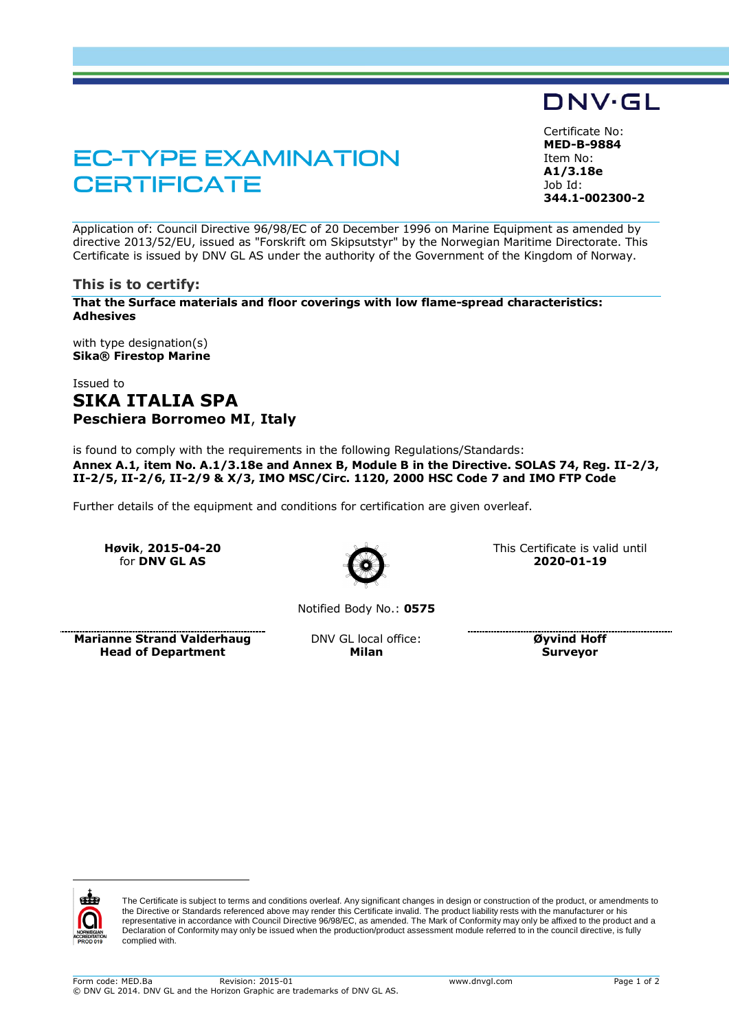# **EC-TYPE EXAMINATION CERTIFICATE**

Certificate No: **MED-B-9884** Item No: **A1/3.18e** Job Id: **344.1-002300-2**

DNV·GL

Application of: Council Directive 96/98/EC of 20 December 1996 on Marine Equipment as amended by directive 2013/52/EU, issued as "Forskrift om Skipsutstyr" by the Norwegian Maritime Directorate. This Certificate is issued by DNV GL AS under the authority of the Government of the Kingdom of Norway.

### **This is to certify:**

**That the Surface materials and floor coverings with low flame-spread characteristics: Adhesives**

with type designation(s) **Sika® Firestop Marine**

# Issued to **SIKA ITALIA SPA Peschiera Borromeo MI**, **Italy**

is found to comply with the requirements in the following Regulations/Standards: **Annex A.1, item No. A.1/3.18e and Annex B, Module B in the Directive. SOLAS 74, Reg. II-2/3, II-2/5, II-2/6, II-2/9 & X/3, IMO MSC/Circ. 1120, 2000 HSC Code 7 and IMO FTP Code**

Further details of the equipment and conditions for certification are given overleaf.

**Høvik**, **2015-04-20** for **DNV GL AS**



This Certificate is valid until **2020-01-19**

Notified Body No.: **0575**

**Marianne Strand Valderhaug Head of Department**

DNV GL local office: **Milan**

**Øyvind Hoff Surveyor**



 $\overline{a}$ 

The Certificate is subject to terms and conditions overleaf. Any significant changes in design or construction of the product, or amendments to the Directive or Standards referenced above may render this Certificate invalid. The product liability rests with the manufacturer or his representative in accordance with Council Directive 96/98/EC, as amended. The Mark of Conformity may only be affixed to the product and a Declaration of Conformity may only be issued when the production/product assessment module referred to in the council directive, is fully complied with.